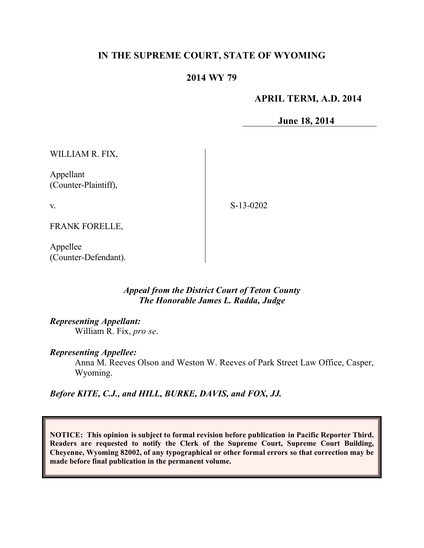# **IN THE SUPREME COURT, STATE OF WYOMING**

## **2014 WY 79**

### **APRIL TERM, A.D. 2014**

**June 18, 2014**

WILLIAM R. FIX,

Appellant (Counter-Plaintiff),

v.

S-13-0202

FRANK FORELLE,

Appellee (Counter-Defendant).

### *Appeal from the District Court of Teton County The Honorable James L. Radda, Judge*

#### *Representing Appellant:*

William R. Fix, *pro se*.

#### *Representing Appellee:*

Anna M. Reeves Olson and Weston W. Reeves of Park Street Law Office, Casper, Wyoming.

*Before KITE, C.J., and HILL, BURKE, DAVIS, and FOX, JJ.*

**NOTICE: This opinion is subject to formal revision before publication in Pacific Reporter Third. Readers are requested to notify the Clerk of the Supreme Court, Supreme Court Building, Cheyenne, Wyoming 82002, of any typographical or other formal errors so that correction may be made before final publication in the permanent volume.**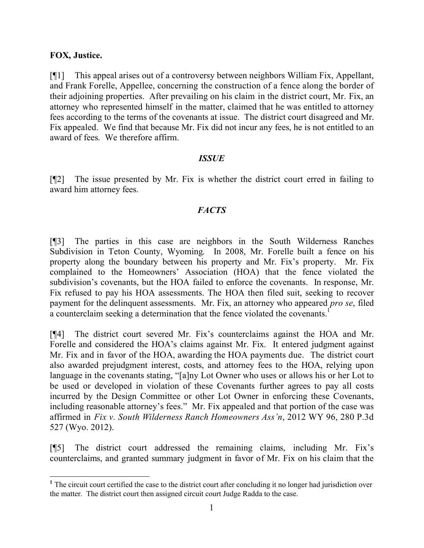### **FOX, Justice.**

[¶1] This appeal arises out of a controversy between neighbors William Fix, Appellant, and Frank Forelle, Appellee, concerning the construction of a fence along the border of their adjoining properties. After prevailing on his claim in the district court, Mr. Fix, an attorney who represented himself in the matter, claimed that he was entitled to attorney fees according to the terms of the covenants at issue. The district court disagreed and Mr. Fix appealed. We find that because Mr. Fix did not incur any fees, he is not entitled to an award of fees. We therefore affirm.

### *ISSUE*

[¶2] The issue presented by Mr. Fix is whether the district court erred in failing to award him attorney fees.

## *FACTS*

[¶3] The parties in this case are neighbors in the South Wilderness Ranches Subdivision in Teton County, Wyoming. In 2008, Mr. Forelle built a fence on his property along the boundary between his property and Mr. Fix's property. Mr. Fix complained to the Homeowners' Association (HOA) that the fence violated the subdivision's covenants, but the HOA failed to enforce the covenants. In response, Mr. Fix refused to pay his HOA assessments. The HOA then filed suit, seeking to recover payment for the delinquent assessments. Mr. Fix, an attorney who appeared *pro se*, filed a counterclaim seeking a determination that the fence violated the covenants.<sup>1</sup>

[¶4] The district court severed Mr. Fix's counterclaims against the HOA and Mr. Forelle and considered the HOA's claims against Mr. Fix. It entered judgment against Mr. Fix and in favor of the HOA, awarding the HOA payments due. The district court also awarded prejudgment interest, costs, and attorney fees to the HOA, relying upon language in the covenants stating, "[a]ny Lot Owner who uses or allows his or her Lot to be used or developed in violation of these Covenants further agrees to pay all costs incurred by the Design Committee or other Lot Owner in enforcing these Covenants, including reasonable attorney's fees." Mr. Fix appealed and that portion of the case was affirmed in *Fix v. South Wilderness Ranch Homeowners Ass'n*, 2012 WY 96, 280 P.3d 527 (Wyo. 2012).

[¶5] The district court addressed the remaining claims, including Mr. Fix's counterclaims, and granted summary judgment in favor of Mr. Fix on his claim that the

 <sup>1</sup> The circuit court certified the case to the district court after concluding it no longer had jurisdiction over the matter. The district court then assigned circuit court Judge Radda to the case.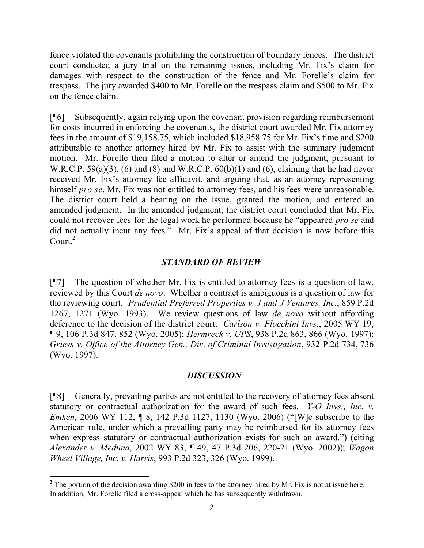fence violated the covenants prohibiting the construction of boundary fences. The district court conducted a jury trial on the remaining issues, including Mr. Fix's claim for damages with respect to the construction of the fence and Mr. Forelle's claim for trespass. The jury awarded \$400 to Mr. Forelle on the trespass claim and \$500 to Mr. Fix on the fence claim.

[¶6] Subsequently, again relying upon the covenant provision regarding reimbursement for costs incurred in enforcing the covenants, the district court awarded Mr. Fix attorney fees in the amount of \$19,158.75, which included \$18,958.75 for Mr. Fix's time and \$200 attributable to another attorney hired by Mr. Fix to assist with the summary judgment motion. Mr. Forelle then filed a motion to alter or amend the judgment, pursuant to W.R.C.P. 59(a)(3), (6) and (8) and W.R.C.P.  $60(b)(1)$  and (6), claiming that he had never received Mr. Fix's attorney fee affidavit, and arguing that, as an attorney representing himself *pro se*, Mr. Fix was not entitled to attorney fees, and his fees were unreasonable. The district court held a hearing on the issue, granted the motion, and entered an amended judgment. In the amended judgment, the district court concluded that Mr. Fix could not recover fees for the legal work he performed because he "appeared *pro se* and did not actually incur any fees." Mr. Fix's appeal of that decision is now before this Court. $^{2}$ 

## *STANDARD OF REVIEW*

[¶7] The question of whether Mr. Fix is entitled to attorney fees is a question of law, reviewed by this Court *de novo*. Whether a contract is ambiguous is a question of law for the reviewing court. *Prudential Preferred Properties v. J and J Ventures, Inc.*, 859 P.2d 1267, 1271 (Wyo. 1993). We review questions of law *de novo* without affording deference to the decision of the district court. *Carlson v. Flocchini Invs.*, 2005 WY 19, ¶ 9, 106 P.3d 847, 852 (Wyo. 2005); *Hermreck v. UPS*, 938 P.2d 863, 866 (Wyo. 1997); *Griess v. Office of the Attorney Gen., Div. of Criminal Investigation*, 932 P.2d 734, 736 (Wyo. 1997).

## *DISCUSSION*

[¶8] Generally, prevailing parties are not entitled to the recovery of attorney fees absent statutory or contractual authorization for the award of such fees. *Y-O Invs., Inc. v. Emken*, 2006 WY 112, ¶ 8, 142 P.3d 1127, 1130 (Wyo. 2006) ("[W]e subscribe to the American rule, under which a prevailing party may be reimbursed for its attorney fees when express statutory or contractual authorization exists for such an award.") (citing *Alexander v. Meduna*, 2002 WY 83, ¶ 49, 47 P.3d 206, 220-21 (Wyo. 2002)); *Wagon Wheel Village, Inc. v. Harris*, 993 P.2d 323, 326 (Wyo. 1999).

 <sup>2</sup> The portion of the decision awarding \$200 in fees to the attorney hired by Mr. Fix is not at issue here. In addition, Mr. Forelle filed a cross-appeal which he has subsequently withdrawn.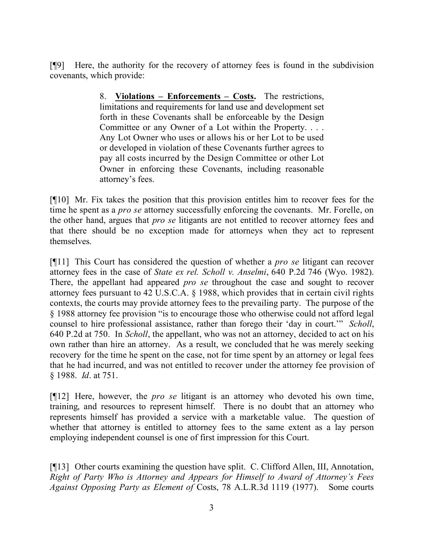[¶9] Here, the authority for the recovery of attorney fees is found in the subdivision covenants, which provide:

> 8. **Violations – Enforcements – Costs.** The restrictions, limitations and requirements for land use and development set forth in these Covenants shall be enforceable by the Design Committee or any Owner of a Lot within the Property. . . . Any Lot Owner who uses or allows his or her Lot to be used or developed in violation of these Covenants further agrees to pay all costs incurred by the Design Committee or other Lot Owner in enforcing these Covenants, including reasonable attorney's fees.

[¶10] Mr. Fix takes the position that this provision entitles him to recover fees for the time he spent as a *pro se* attorney successfully enforcing the covenants. Mr. Forelle, on the other hand, argues that *pro se* litigants are not entitled to recover attorney fees and that there should be no exception made for attorneys when they act to represent themselves.

[¶11] This Court has considered the question of whether a *pro se* litigant can recover attorney fees in the case of *State ex rel. Scholl v. Anselmi*, 640 P.2d 746 (Wyo. 1982). There, the appellant had appeared *pro se* throughout the case and sought to recover attorney fees pursuant to 42 U.S.C.A. § 1988, which provides that in certain civil rights contexts, the courts may provide attorney fees to the prevailing party. The purpose of the § 1988 attorney fee provision "is to encourage those who otherwise could not afford legal counsel to hire professional assistance, rather than forego their 'day in court.'" *Scholl*, 640 P.2d at 750. In *Scholl*, the appellant, who was not an attorney, decided to act on his own rather than hire an attorney. As a result, we concluded that he was merely seeking recovery for the time he spent on the case, not for time spent by an attorney or legal fees that he had incurred, and was not entitled to recover under the attorney fee provision of § 1988. *Id*. at 751.

[¶12] Here, however, the *pro se* litigant is an attorney who devoted his own time, training, and resources to represent himself. There is no doubt that an attorney who represents himself has provided a service with a marketable value. The question of whether that attorney is entitled to attorney fees to the same extent as a lay person employing independent counsel is one of first impression for this Court.

[¶13] Other courts examining the question have split. C. Clifford Allen, III, Annotation, *Right of Party Who is Attorney and Appears for Himself to Award of Attorney's Fees Against Opposing Party as Element of* Costs, 78 A.L.R.3d 1119 (1977). Some courts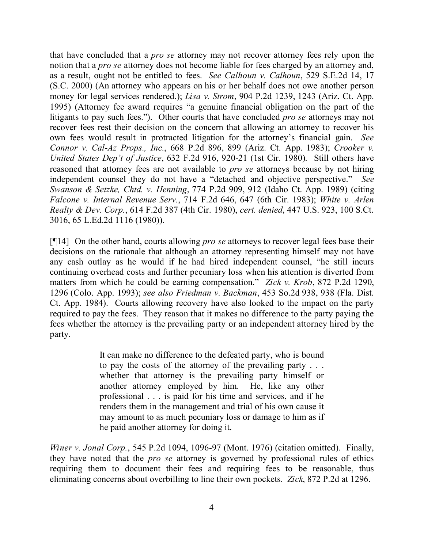that have concluded that a *pro se* attorney may not recover attorney fees rely upon the notion that a *pro se* attorney does not become liable for fees charged by an attorney and, as a result, ought not be entitled to fees. *See Calhoun v. Calhoun*, 529 S.E.2d 14, 17 (S.C. 2000) (An attorney who appears on his or her behalf does not owe another person money for legal services rendered.); *Lisa v. Strom*, 904 P.2d 1239, 1243 (Ariz. Ct. App. 1995) (Attorney fee award requires "a genuine financial obligation on the part of the litigants to pay such fees."). Other courts that have concluded *pro se* attorneys may not recover fees rest their decision on the concern that allowing an attorney to recover his own fees would result in protracted litigation for the attorney's financial gain. *See Connor v. Cal-Az Props., Inc.*, 668 P.2d 896, 899 (Ariz. Ct. App. 1983); *Crooker v. United States Dep't of Justice*, 632 F.2d 916, 920-21 (1st Cir. 1980). Still others have reasoned that attorney fees are not available to *pro se* attorneys because by not hiring independent counsel they do not have a "detached and objective perspective." *See Swanson & Setzke, Chtd. v. Henning*, 774 P.2d 909, 912 (Idaho Ct. App. 1989) (citing *Falcone v. Internal Revenue Serv.*, 714 F.2d 646, 647 (6th Cir. 1983); *White v. Arlen Realty & Dev. Corp.*, 614 F.2d 387 (4th Cir. 1980), *cert. denied*, 447 U.S. 923, 100 S.Ct. 3016, 65 L.Ed.2d 1116 (1980)).

[¶14] On the other hand, courts allowing *pro se* attorneys to recover legal fees base their decisions on the rationale that although an attorney representing himself may not have any cash outlay as he would if he had hired independent counsel, "he still incurs continuing overhead costs and further pecuniary loss when his attention is diverted from matters from which he could be earning compensation." *Zick v. Krob*, 872 P.2d 1290, 1296 (Colo. App. 1993); *see also Friedman v. Backman*, 453 So.2d 938, 938 (Fla. Dist. Ct. App. 1984). Courts allowing recovery have also looked to the impact on the party required to pay the fees. They reason that it makes no difference to the party paying the fees whether the attorney is the prevailing party or an independent attorney hired by the party.

> It can make no difference to the defeated party, who is bound to pay the costs of the attorney of the prevailing party . . . whether that attorney is the prevailing party himself or another attorney employed by him. He, like any other professional . . . is paid for his time and services, and if he renders them in the management and trial of his own cause it may amount to as much pecuniary loss or damage to him as if he paid another attorney for doing it.

*Winer v. Jonal Corp.*, 545 P.2d 1094, 1096-97 (Mont. 1976) (citation omitted). Finally, they have noted that the *pro se* attorney is governed by professional rules of ethics requiring them to document their fees and requiring fees to be reasonable, thus eliminating concerns about overbilling to line their own pockets. *Zick*, 872 P.2d at 1296.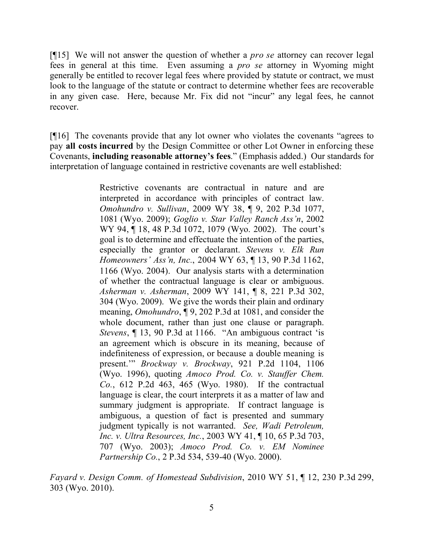[¶15] We will not answer the question of whether a *pro se* attorney can recover legal fees in general at this time. Even assuming a *pro se* attorney in Wyoming might generally be entitled to recover legal fees where provided by statute or contract, we must look to the language of the statute or contract to determine whether fees are recoverable in any given case. Here, because Mr. Fix did not "incur" any legal fees, he cannot recover.

[¶16] The covenants provide that any lot owner who violates the covenants "agrees to pay **all costs incurred** by the Design Committee or other Lot Owner in enforcing these Covenants, **including reasonable attorney's fees**." (Emphasis added.) Our standards for interpretation of language contained in restrictive covenants are well established:

> Restrictive covenants are contractual in nature and are interpreted in accordance with principles of contract law. *Omohundro v. Sullivan*, 2009 WY 38, ¶ 9, 202 P.3d 1077, 1081 (Wyo. 2009); *Goglio v. Star Valley Ranch Ass'n*, 2002 WY 94, ¶ 18, 48 P.3d 1072, 1079 (Wyo. 2002). The court's goal is to determine and effectuate the intention of the parties, especially the grantor or declarant. *Stevens v. Elk Run Homeowners' Ass'n, Inc.*, 2004 WY 63, ¶ 13, 90 P.3d 1162, 1166 (Wyo. 2004). Our analysis starts with a determination of whether the contractual language is clear or ambiguous. *Asherman v. Asherman*, 2009 WY 141, ¶ 8, 221 P.3d 302, 304 (Wyo. 2009). We give the words their plain and ordinary meaning, *Omohundro*, ¶ 9, 202 P.3d at 1081, and consider the whole document, rather than just one clause or paragraph. *Stevens*, ¶ 13, 90 P.3d at 1166. "An ambiguous contract 'is an agreement which is obscure in its meaning, because of indefiniteness of expression, or because a double meaning is present.'" *Brockway v. Brockway*, 921 P.2d 1104, 1106 (Wyo. 1996), quoting *Amoco Prod. Co. v. Stauffer Chem. Co.*, 612 P.2d 463, 465 (Wyo. 1980). If the contractual language is clear, the court interprets it as a matter of law and summary judgment is appropriate. If contract language is ambiguous, a question of fact is presented and summary judgment typically is not warranted. *See, Wadi Petroleum, Inc. v. Ultra Resources, Inc.*, 2003 WY 41, ¶ 10, 65 P.3d 703, 707 (Wyo. 2003); *Amoco Prod. Co. v. EM Nominee Partnership Co.*, 2 P.3d 534, 539-40 (Wyo. 2000).

*Fayard v. Design Comm. of Homestead Subdivision*, 2010 WY 51, ¶ 12, 230 P.3d 299, 303 (Wyo. 2010).